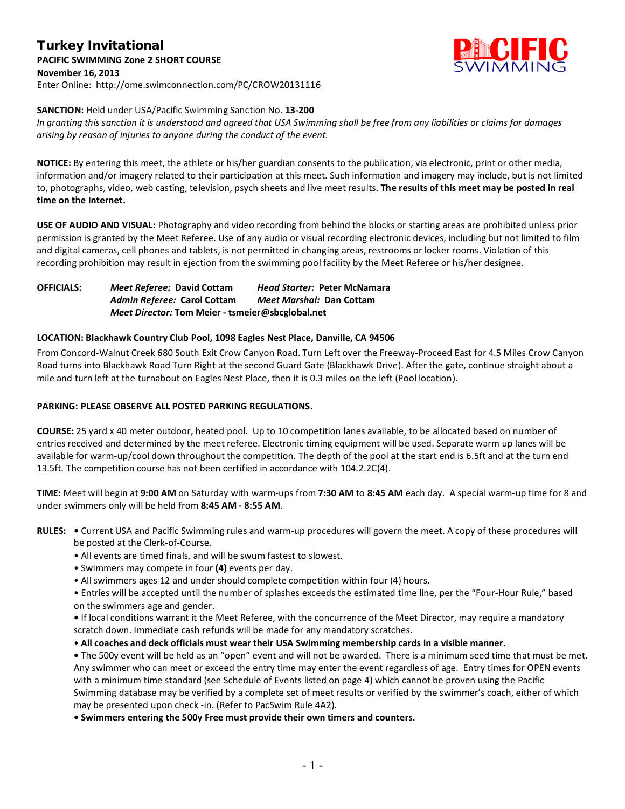# Turkey Invitational **PACIFIC SWIMMING Zone 2 SHORT COURSE November 16, 2013** Enter Online: http://ome.swimconnection.com/PC/CROW20131116



### **SANCTION:** Held under USA/Pacific Swimming Sanction No. **13-200**

*In granting this sanction it is understood and agreed that USA Swimming shall be free from any liabilities or claims for damages arising by reason of injuries to anyone during the conduct of the event.*

**NOTICE:** By entering this meet, the athlete or his/her guardian consents to the publication, via electronic, print or other media, information and/or imagery related to their participation at this meet. Such information and imagery may include, but is not limited to, photographs, video, web casting, television, psych sheets and live meet results. **The results of this meet may be posted in real time on the Internet.**

**USE OF AUDIO AND VISUAL:** Photography and video recording from behind the blocks or starting areas are prohibited unless prior permission is granted by the Meet Referee. Use of any audio or visual recording electronic devices, including but not limited to film and digital cameras, cell phones and tablets, is not permitted in changing areas, restrooms or locker rooms. Violation of this recording prohibition may result in ejection from the swimming pool facility by the Meet Referee or his/her designee.

**OFFICIALS:** *Meet Referee:* **David Cottam** *Head Starter:* **Peter McNamara** *Admin Referee:* **Carol Cottam** *Meet Marshal:* **Dan Cottam** *Meet Director:* **Tom Meier - tsmeier@sbcglobal.net**

### **LOCATION: Blackhawk Country Club Pool, 1098 Eagles Nest Place, Danville, CA 94506**

From Concord-Walnut Creek 680 South Exit Crow Canyon Road. Turn Left over the Freeway-Proceed East for 4.5 Miles Crow Canyon Road turns into Blackhawk Road Turn Right at the second Guard Gate (Blackhawk Drive). After the gate, continue straight about a mile and turn left at the turnabout on Eagles Nest Place, then it is 0.3 miles on the left (Pool location).

### **PARKING: PLEASE OBSERVE ALL POSTED PARKING REGULATIONS.**

**COURSE:** 25 yard x 40 meter outdoor, heated pool. Up to 10 competition lanes available, to be allocated based on number of entries received and determined by the meet referee. Electronic timing equipment will be used. Separate warm up lanes will be available for warm-up/cool down throughout the competition. The depth of the pool at the start end is 6.5ft and at the turn end 13.5ft. The competition course has not been certified in accordance with 104.2.2C(4).

**TIME:** Meet will begin at **9:00 AM** on Saturday with warm-ups from **7:30 AM** to **8:45 AM** each day. A special warm-up time for 8 and under swimmers only will be held from **8:45 AM - 8:55 AM**.

- **RULES:** Current USA and Pacific Swimming rules and warm-up procedures will govern the meet. A copy of these procedures will be posted at the Clerk-of-Course.
	- All events are timed finals, and will be swum fastest to slowest.
	- Swimmers may compete in four **(4)** events per day.
	- All swimmers ages 12 and under should complete competition within four (4) hours.
	- Entries will be accepted until the number of splashes exceeds the estimated time line, per the "Four-Hour Rule," based on the swimmers age and gender.
	- If local conditions warrant it the Meet Referee, with the concurrence of the Meet Director, may require a mandatory scratch down. Immediate cash refunds will be made for any mandatory scratches.
	- **All coaches and deck officials must wear their USA Swimming membership cards in a visible manner.**

**•** The 500y event will be held as an "open" event and will not be awarded. There is a minimum seed time that must be met. Any swimmer who can meet or exceed the entry time may enter the event regardless of age. Entry times for OPEN events with a minimum time standard (see Schedule of Events listed on page 4) which cannot be proven using the Pacific Swimming database may be verified by a complete set of meet results or verified by the swimmer's coach, either of which may be presented upon check -in. (Refer to PacSwim Rule 4A2).

**• Swimmers entering the 500y Free must provide their own timers and counters.**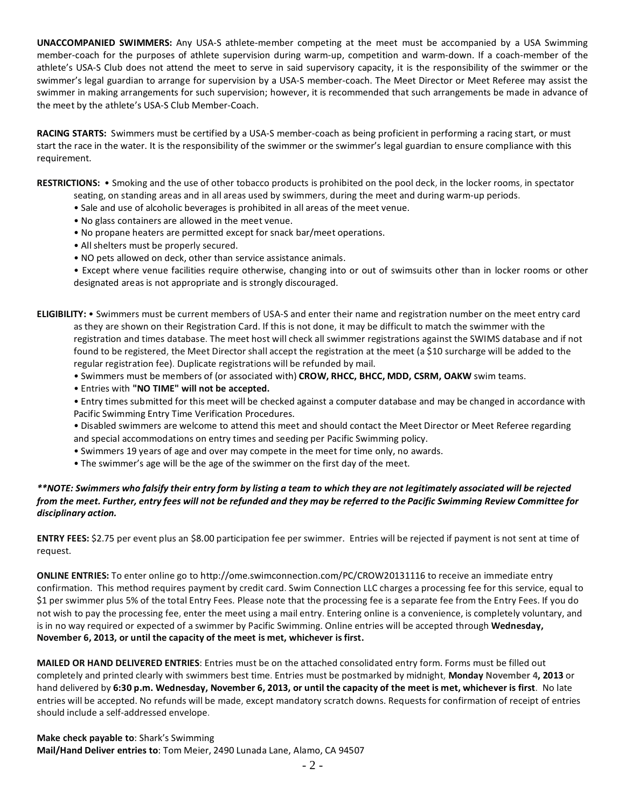**UNACCOMPANIED SWIMMERS:** Any USA-S athlete-member competing at the meet must be accompanied by a USA Swimming member-coach for the purposes of athlete supervision during warm-up, competition and warm-down. If a coach-member of the athlete's USA-S Club does not attend the meet to serve in said supervisory capacity, it is the responsibility of the swimmer or the swimmer's legal guardian to arrange for supervision by a USA-S member-coach. The Meet Director or Meet Referee may assist the swimmer in making arrangements for such supervision; however, it is recommended that such arrangements be made in advance of the meet by the athlete's USA-S Club Member-Coach.

**RACING STARTS:** Swimmers must be certified by a USA-S member-coach as being proficient in performing a racing start, or must start the race in the water. It is the responsibility of the swimmer or the swimmer's legal guardian to ensure compliance with this requirement.

**RESTRICTIONS:** • Smoking and the use of other tobacco products is prohibited on the pool deck, in the locker rooms, in spectator

- seating, on standing areas and in all areas used by swimmers, during the meet and during warm-up periods.
	- Sale and use of alcoholic beverages is prohibited in all areas of the meet venue.
	- No glass containers are allowed in the meet venue.
	- No propane heaters are permitted except for snack bar/meet operations.
	- All shelters must be properly secured.
	- NO pets allowed on deck, other than service assistance animals.

• Except where venue facilities require otherwise, changing into or out of swimsuits other than in locker rooms or other designated areas is not appropriate and is strongly discouraged.

**ELIGIBILITY:** • Swimmers must be current members of USA-S and enter their name and registration number on the meet entry card as they are shown on their Registration Card. If this is not done, it may be difficult to match the swimmer with the registration and times database. The meet host will check all swimmer registrations against the SWIMS database and if not found to be registered, the Meet Director shall accept the registration at the meet (a \$10 surcharge will be added to the regular registration fee). Duplicate registrations will be refunded by mail.

- Swimmers must be members of (or associated with) **CROW, RHCC, BHCC, MDD, CSRM, OAKW** swim teams.
- Entries with **"NO TIME" will not be accepted.**

• Entry times submitted for this meet will be checked against a computer database and may be changed in accordance with Pacific Swimming Entry Time Verification Procedures.

- Disabled swimmers are welcome to attend this meet and should contact the Meet Director or Meet Referee regarding and special accommodations on entry times and seeding per Pacific Swimming policy.
- Swimmers 19 years of age and over may compete in the meet for time only, no awards.
- The swimmer's age will be the age of the swimmer on the first day of the meet.

## *\*\*NOTE: Swimmers who falsify their entry form by listing a team to which they are not legitimately associated will be rejected from the meet. Further, entry fees will not be refunded and they may be referred to the Pacific Swimming Review Committee for disciplinary action.*

**ENTRY FEES:** \$2.75 per event plus an \$8.00 participation fee per swimmer. Entries will be rejected if payment is not sent at time of request.

**ONLINE ENTRIES:** To enter online go to http://ome.swimconnection.com/PC/CROW20131116 to receive an immediate entry confirmation. This method requires payment by credit card. Swim Connection LLC charges a processing fee for this service, equal to \$1 per swimmer plus 5% of the total Entry Fees. Please note that the processing fee is a separate fee from the Entry Fees. If you do not wish to pay the processing fee, enter the meet using a mail entry. Entering online is a convenience, is completely voluntary, and is in no way required or expected of a swimmer by Pacific Swimming. Online entries will be accepted through **Wednesday, November 6, 2013, or until the capacity of the meet is met, whichever is first.**

**MAILED OR HAND DELIVERED ENTRIES**: Entries must be on the attached consolidated entry form. Forms must be filled out completely and printed clearly with swimmers best time. Entries must be postmarked by midnight, **Monday November 4, 2013** or hand delivered by **6:30 p.m. Wednesday, November 6, 2013, or until the capacity of the meet is met, whichever is first**. No late entries will be accepted. No refunds will be made, except mandatory scratch downs. Requests for confirmation of receipt of entries should include a self-addressed envelope.

**Make check payable to**: Shark's Swimming **Mail/Hand Deliver entries to**: Tom Meier, 2490 Lunada Lane, Alamo, CA 94507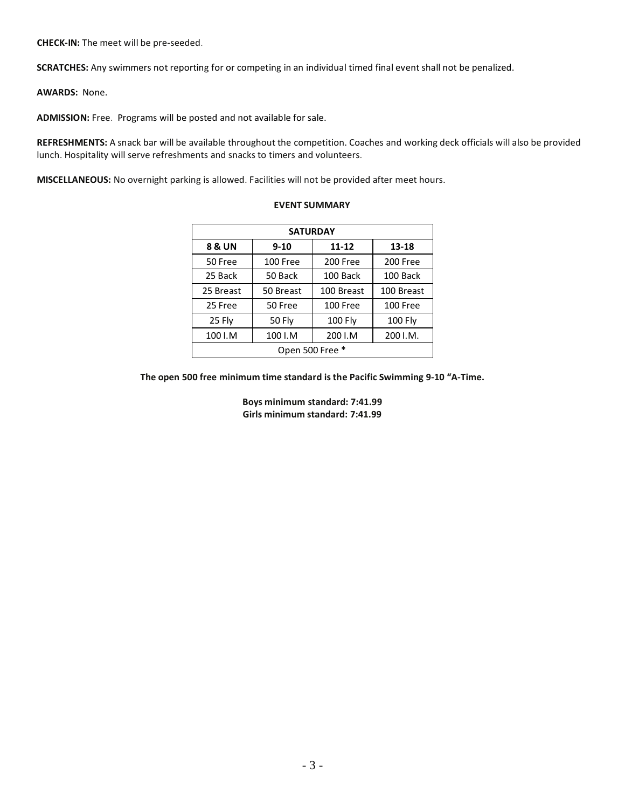**CHECK-IN:** The meet will be pre-seeded.

**SCRATCHES:** Any swimmers not reporting for or competing in an individual timed final event shall not be penalized.

**AWARDS:** None.

**ADMISSION:** Free. Programs will be posted and not available for sale.

**REFRESHMENTS:** A snack bar will be available throughout the competition. Coaches and working deck officials will also be provided lunch. Hospitality will serve refreshments and snacks to timers and volunteers.

**MISCELLANEOUS:** No overnight parking is allowed. Facilities will not be provided after meet hours.

| <b>SATURDAY</b> |           |            |            |  |  |
|-----------------|-----------|------------|------------|--|--|
| 8 & UN          | $9 - 10$  | $11 - 12$  | $13 - 18$  |  |  |
| 50 Free         | 100 Free  | 200 Free   | 200 Free   |  |  |
| 25 Back         | 50 Back   | 100 Back   | 100 Back   |  |  |
| 25 Breast       | 50 Breast | 100 Breast | 100 Breast |  |  |
| 25 Free         | 50 Free   | 100 Free   | 100 Free   |  |  |
| 25 Fly          | 50 Fly    | 100 Fly    | 100 Fly    |  |  |
| 100 I.M         | 100 I.M   | 200 I.M    | 200 I.M.   |  |  |
| Open 500 Free * |           |            |            |  |  |

#### **EVENT SUMMARY**

**The open 500 free minimum time standard is the Pacific Swimming 9-10 "A-Time.**

**Boys minimum standard: 7:41.99 Girls minimum standard: 7:41.99**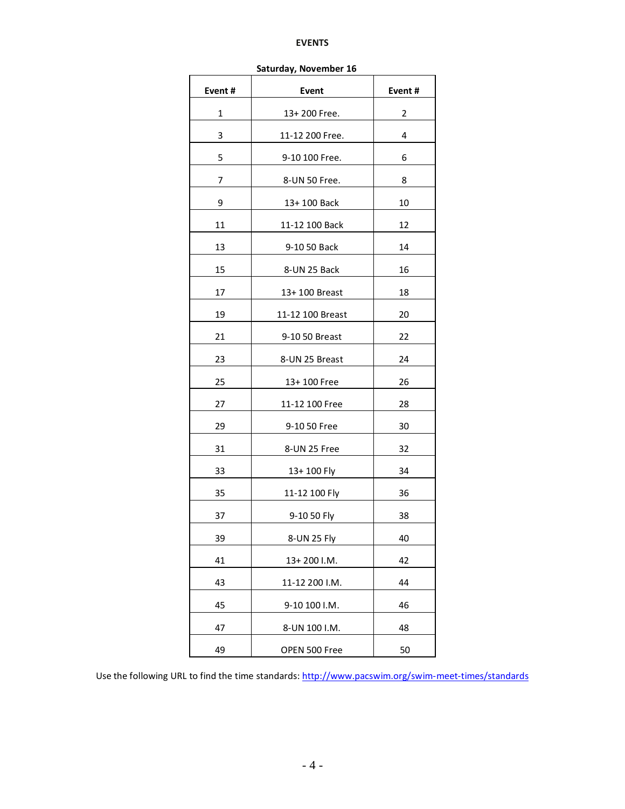#### **EVENTS**

| Saturday, November 16 |                  |        |  |  |  |
|-----------------------|------------------|--------|--|--|--|
| Event#                | Event            | Event# |  |  |  |
| 1                     | 13+200 Free.     | 2      |  |  |  |
| 3                     | 11-12 200 Free.  | 4      |  |  |  |
| 5                     | 9-10 100 Free.   | 6      |  |  |  |
| 7                     | 8-UN 50 Free.    | 8      |  |  |  |
| 9                     | 13+100 Back      | 10     |  |  |  |
| 11                    | 11-12 100 Back   | 12     |  |  |  |
| 13                    | 9-10 50 Back     | 14     |  |  |  |
| 15                    | 8-UN 25 Back     | 16     |  |  |  |
| 17                    | 13+ 100 Breast   | 18     |  |  |  |
| 19                    | 11-12 100 Breast | 20     |  |  |  |
| 21                    | 9-10 50 Breast   | 22     |  |  |  |
| 23                    | 8-UN 25 Breast   | 24     |  |  |  |
| 25                    | 13+100 Free      | 26     |  |  |  |
| 27                    | 11-12 100 Free   | 28     |  |  |  |
| 29                    | 9-10 50 Free     | 30     |  |  |  |
| 31                    | 8-UN 25 Free     | 32     |  |  |  |
| 33                    | 13+100 Fly       | 34     |  |  |  |
| 35                    | 11-12 100 Fly    | 36     |  |  |  |
| 37                    | 9-10 50 Fly      | 38     |  |  |  |
| 39                    | 8-UN 25 Fly      | 40     |  |  |  |
| 41                    | 13+200 I.M.      | 42     |  |  |  |
| 43                    | 11-12 200 I.M.   | 44     |  |  |  |
| 45                    | 9-10 100 I.M.    | 46     |  |  |  |
| 47                    | 8-UN 100 I.M.    | 48     |  |  |  |
| 49                    | OPEN 500 Free    | 50     |  |  |  |

**Saturday, November 16**

Use the following URL to find the time standards:<http://www.pacswim.org/swim-meet-times/standards>